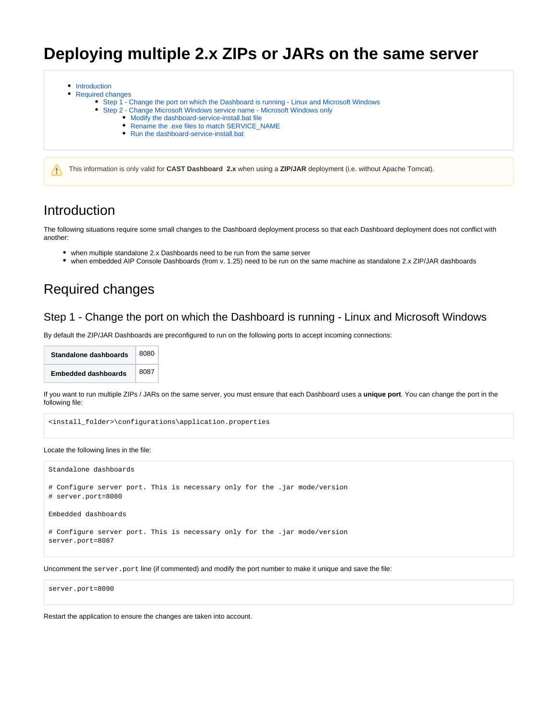# **Deploying multiple 2.x ZIPs or JARs on the same server**

- [Introduction](#page-0-0)
- [Required changes](#page-0-1)
	- [Step 1 Change the port on which the Dashboard is running Linux and Microsoft Windows](#page-0-2)
		- [Step 2 Change Microsoft Windows service name Microsoft Windows only](#page-1-0)
			- [Modify the dashboard-service-install.bat file](#page-1-1)
			- [Rename the .exe files to match SERVICE\\_NAME](#page-1-2)
			- [Run the dashboard-service-install.bat](#page-2-0)

This information is only valid for **CAST Dashboard 2.x** when using a **ZIP/JAR** deployment (i.e. without Apache Tomcat).

### <span id="page-0-0"></span>Introduction

Δ

The following situations require some small changes to the Dashboard deployment process so that each Dashboard deployment does not conflict with another:

- when multiple standalone 2.x Dashboards need to be run from the same server
- when embedded AIP Console Dashboards (from v. 1.25) need to be run on the same machine as standalone 2.x ZIP/JAR dashboards

## <span id="page-0-1"></span>Required changes

#### <span id="page-0-2"></span>Step 1 - Change the port on which the Dashboard is running - Linux and Microsoft Windows

By default the ZIP/JAR Dashboards are preconfigured to run on the following ports to accept incoming connections:

| Standalone dashboards      | 8080 |
|----------------------------|------|
| <b>Embedded dashboards</b> | 8087 |

If you want to run multiple ZIPs / JARs on the same server, you must ensure that each Dashboard uses a **unique port**. You can change the port in the following file:

<install\_folder>\configurations\application.properties

Locate the following lines in the file:

```
Standalone dashboards
# Configure server port. This is necessary only for the .jar mode/version
# server.port=8080
Embedded dashboards
# Configure server port. This is necessary only for the .jar mode/version
server.port=8087
```
Uncomment the server.port line (if commented) and modify the port number to make it unique and save the file:

server.port=8090

Restart the application to ensure the changes are taken into account.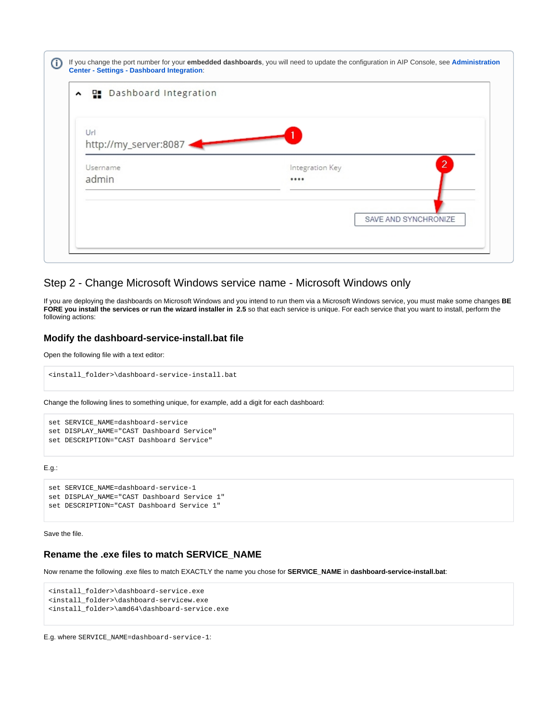| ▲ 밀 Dashboard Integration    |                      |
|------------------------------|----------------------|
| Url<br>http://my_server:8087 |                      |
| Username                     | 2<br>Integration Key |
| admin                        |                      |
|                              |                      |
|                              | SAVE AND SYNCHRONIZE |

#### <span id="page-1-0"></span>Step 2 - Change Microsoft Windows service name - Microsoft Windows only

If you are deploying the dashboards on Microsoft Windows and you intend to run them via a Microsoft Windows service, you must make some changes **BE FORE you install the services or run the wizard installer in 2.5** so that each service is unique. For each service that you want to install, perform the following actions:

#### <span id="page-1-1"></span>**Modify the dashboard-service-install.bat file**

Open the following file with a text editor:

```
<install_folder>\dashboard-service-install.bat
```
Change the following lines to something unique, for example, add a digit for each dashboard:

```
set SERVICE_NAME=dashboard-service
set DISPLAY_NAME="CAST Dashboard Service"
set DESCRIPTION="CAST Dashboard Service"
```
E.g.:

```
set SERVICE_NAME=dashboard-service-1
set DISPLAY_NAME="CAST Dashboard Service 1"
set DESCRIPTION="CAST Dashboard Service 1"
```
Save the file.

#### <span id="page-1-2"></span>**Rename the .exe files to match SERVICE\_NAME**

Now rename the following .exe files to match EXACTLY the name you chose for **SERVICE\_NAME** in **dashboard-service-install.bat**:

```
<install_folder>\dashboard-service.exe
<install_folder>\dashboard-servicew.exe
<install_folder>\amd64\dashboard-service.exe
```
E.g. where SERVICE\_NAME=dashboard-service-1: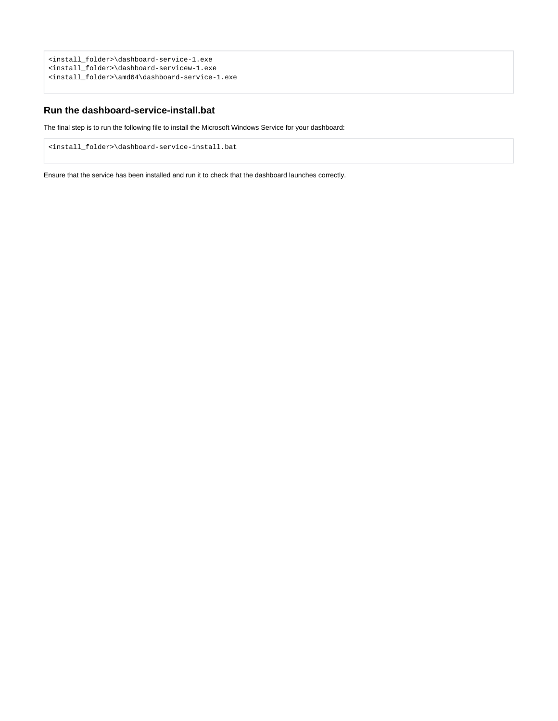```
<install_folder>\dashboard-service-1.exe
<install_folder>\dashboard-servicew-1.exe
<install_folder>\amd64\dashboard-service-1.exe
```
#### <span id="page-2-0"></span>**Run the dashboard-service-install.bat**

The final step is to run the following file to install the Microsoft Windows Service for your dashboard:

<install\_folder>\dashboard-service-install.bat

Ensure that the service has been installed and run it to check that the dashboard launches correctly.